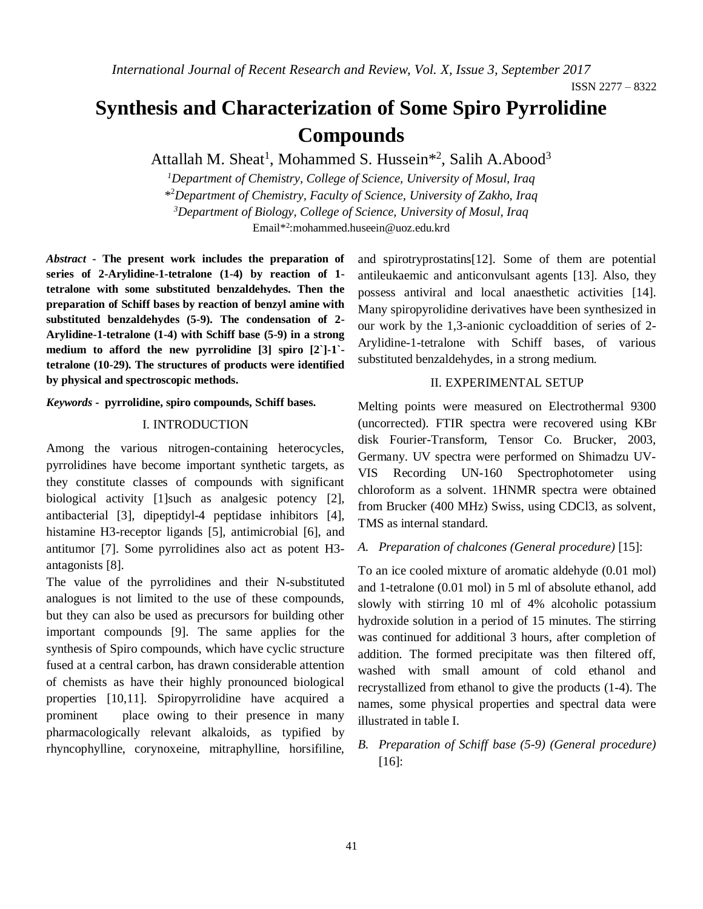# **Synthesis and Characterization of Some Spiro Pyrrolidine Compounds**

Attallah M. Sheat<sup>1</sup>, Mohammed S. Hussein<sup>\*2</sup>, Salih A.Abood<sup>3</sup>

*<sup>1</sup>Department of Chemistry, College of Science, University of Mosul, Iraq* \* <sup>2</sup>*Department of Chemistry, Faculty of Science, University of Zakho, Iraq <sup>3</sup>Department of Biology, College of Science, University of Mosul, Iraq* Email\* 2 [:mohammed.huseein@uoz.edu.krd](mailto:mohammed.huseein@uoz.edu.krd)

*Abstract* **- The present work includes the preparation of series of 2-Arylidine-1-tetralone (1-4) by reaction of 1 tetralone with some substituted benzaldehydes. Then the preparation of Schiff bases by reaction of benzyl amine with substituted benzaldehydes (5-9). The condensation of 2- Arylidine-1-tetralone (1-4) with Schiff base (5-9) in a strong medium to afford the new pyrrolidine [3] spiro [2`]-1` tetralone (10-29). The structures of products were identified by physical and spectroscopic methods.**

*Keywords* **- pyrrolidine, spiro compounds, Schiff bases.**

## I. INTRODUCTION

Among the various nitrogen-containing heterocycles, pyrrolidines have become important synthetic targets, as they constitute classes of compounds with significant biological activity [1]such as analgesic potency [2], antibacterial [3], dipeptidyl-4 peptidase inhibitors [4], histamine H3-receptor ligands [5], antimicrobial [6], and antitumor [7]. Some pyrrolidines also act as potent H3 antagonists [8].

The value of the pyrrolidines and their N-substituted analogues is not limited to the use of these compounds, but they can also be used as precursors for building other important compounds [9]. The same applies for the synthesis of Spiro compounds, which have cyclic structure fused at a central carbon, has drawn considerable attention of chemists as have their highly pronounced biological properties [10,11]. Spiropyrrolidine have acquired a prominent place owing to their presence in many pharmacologically relevant alkaloids, as typified by rhyncophylline, corynoxeine, mitraphylline, horsifiline, and spirotryprostatins[12]. Some of them are potential antileukaemic and anticonvulsant agents [13]. Also, they possess antiviral and local anaesthetic activities [14]. Many spiropyrolidine derivatives have been synthesized in our work by the 1,3-anionic cycloaddition of series of 2- Arylidine-1-tetralone with Schiff bases, of various substituted benzaldehydes, in a strong medium.

## II. EXPERIMENTAL SETUP

Melting points were measured on Electrothermal 9300 (uncorrected). FTIR spectra were recovered using KBr disk Fourier-Transform, Tensor Co. Brucker, 2003, Germany. UV spectra were performed on Shimadzu UV-VIS Recording UN-160 Spectrophotometer using chloroform as a solvent. 1HNMR spectra were obtained from Brucker (400 MHz) Swiss, using CDCl3, as solvent, TMS as internal standard.

### *A. Preparation of chalcones (General procedure)* [15]:

To an ice cooled mixture of aromatic aldehyde (0.01 mol) and 1-tetralone (0.01 mol) in 5 ml of absolute ethanol, add slowly with stirring 10 ml of 4% alcoholic potassium hydroxide solution in a period of 15 minutes. The stirring was continued for additional 3 hours, after completion of addition. The formed precipitate was then filtered off, washed with small amount of cold ethanol and recrystallized from ethanol to give the products (1-4). The names, some physical properties and spectral data were illustrated in table I.

*B. Preparation of Schiff base (5-9) (General procedure)*  [16]: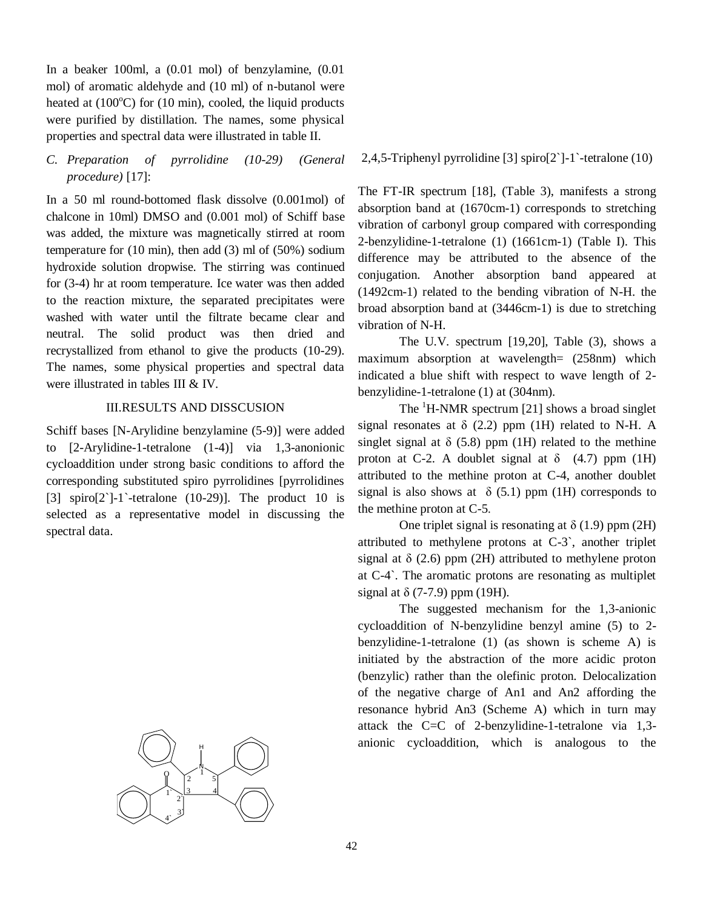In a beaker 100ml, a (0.01 mol) of benzylamine, (0.01 mol) of aromatic aldehyde and (10 ml) of n-butanol were heated at  $(100^{\circ}C)$  for  $(10 \text{ min})$ , cooled, the liquid products were purified by distillation. The names, some physical properties and spectral data were illustrated in table II.

*C. Preparation of pyrrolidine (10-29) (General procedure)* [17]:

In a 50 ml round-bottomed flask dissolve (0.001mol) of chalcone in 10ml) DMSO and (0.001 mol) of Schiff base was added, the mixture was magnetically stirred at room temperature for (10 min), then add (3) ml of (50%) sodium hydroxide solution dropwise. The stirring was continued for (3-4) hr at room temperature. Ice water was then added to the reaction mixture, the separated precipitates were washed with water until the filtrate became clear and neutral. The solid product was then dried and recrystallized from ethanol to give the products (10-29). The names, some physical properties and spectral data were illustrated in tables III & IV.

# III.RESULTS AND DISSCUSION

Schiff bases [N-Arylidine benzylamine (5-9)] were added to [2-Arylidine-1-tetralone (1-4)] via 1,3-anonionic cycloaddition under strong basic conditions to afford the corresponding substituted spiro pyrrolidines [pyrrolidines [3] spiro[2`]-1`-tetralone (10-29)]. The product 10 is selected as a representative model in discussing the spectral data.



2,4,5-Triphenyl pyrrolidine [3] spiro[2`]-1`-tetralone (10)

The FT-IR spectrum [18], (Table 3), manifests a strong absorption band at (1670cm-1) corresponds to stretching vibration of carbonyl group compared with corresponding 2-benzylidine-1-tetralone (1) (1661cm-1) (Table I). This difference may be attributed to the absence of the conjugation. Another absorption band appeared at (1492cm-1) related to the bending vibration of N-H. the broad absorption band at (3446cm-1) is due to stretching vibration of N-H.

The U.V. spectrum [19,20], Table (3), shows a maximum absorption at wavelength= (258nm) which indicated a blue shift with respect to wave length of 2 benzylidine-1-tetralone (1) at (304nm).

The  ${}^{1}$ H-NMR spectrum [21] shows a broad singlet signal resonates at  $\delta$  (2.2) ppm (1H) related to N-H. A singlet signal at  $\delta$  (5.8) ppm (1H) related to the methine proton at C-2. A doublet signal at  $\delta$  (4.7) ppm (1H) attributed to the methine proton at C-4, another doublet signal is also shows at  $\delta$  (5.1) ppm (1H) corresponds to the methine proton at C-5.

One triplet signal is resonating at  $\delta$  (1.9) ppm (2H) attributed to methylene protons at C-3`, another triplet signal at  $\delta$  (2.6) ppm (2H) attributed to methylene proton at C-4`. The aromatic protons are resonating as multiplet signal at  $\delta$  (7-7.9) ppm (19H).

The suggested mechanism for the 1,3-anionic cycloaddition of N-benzylidine benzyl amine (5) to 2 benzylidine-1-tetralone (1) (as shown is scheme A) is initiated by the abstraction of the more acidic proton (benzylic) rather than the olefinic proton. Delocalization of the negative charge of An1 and An2 affording the resonance hybrid An3 (Scheme A) which in turn may attack the C=C of 2-benzylidine-1-tetralone via 1,3 anionic cycloaddition, which is analogous to the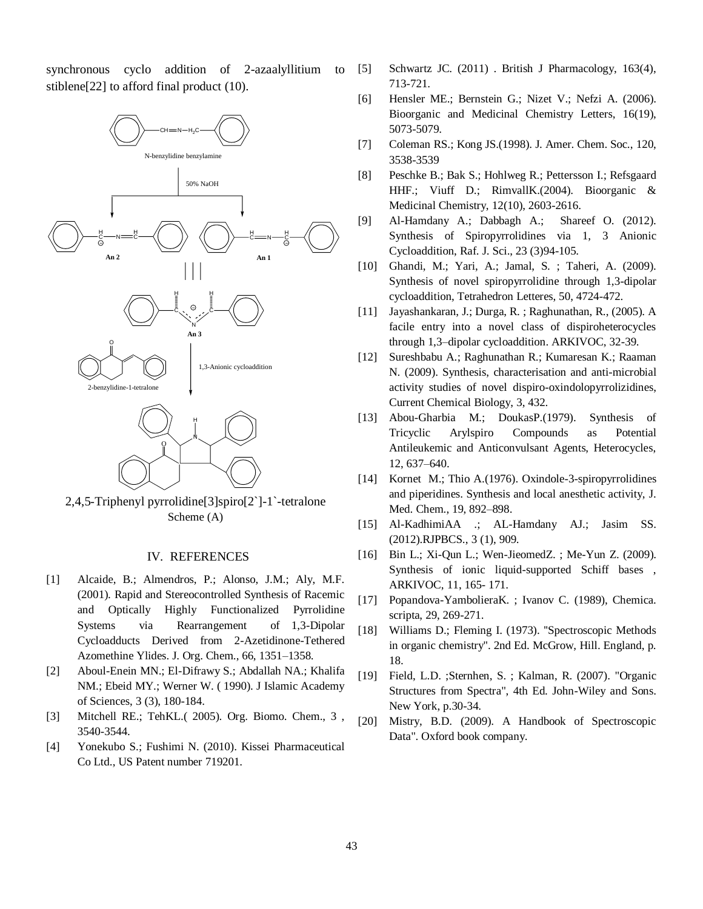synchronous cyclo addition of 2-azaalyllitium to stiblene[22] to afford final product (10).



2,4,5-Triphenyl pyrrolidine[3]spiro[2`]-1`-tetralone Scheme (A)

#### IV. REFERENCES

- [1] Alcaide, B.; Almendros, P.; Alonso, J.M.; Aly, M.F. (2001). Rapid and Stereocontrolled Synthesis of Racemic and Optically Highly Functionalized Pyrrolidine Systems via Rearrangement of 1,3-Dipolar Cycloadducts Derived from 2-Azetidinone-Tethered Azomethine Ylides. J. Org. Chem., 66, 1351–1358.
- [2] Aboul-Enein MN.; El-Difrawy S.; Abdallah NA.; Khalifa NM.; Ebeid MY.; Werner W. ( 1990). J Islamic Academy of Sciences, 3 (3), 180-184.
- [3] Mitchell RE.; TehKL.( 2005). Org. Biomo. Chem., 3 , 3540-3544.
- [4] Yonekubo S.; Fushimi N. (2010). Kissei Pharmaceutical Co Ltd., US Patent number 719201.
- [5] Schwartz JC. (2011) . British J Pharmacology, 163(4), 713-721.
- [6] Hensler ME.; Bernstein G.; Nizet V.; Nefzi A. (2006). Bioorganic and Medicinal Chemistry Letters, 16(19), 5073-5079.
- [7] Coleman RS.; Kong JS.(1998). J. Amer. Chem. Soc., 120, 3538-3539
- [8] Peschke B.; Bak S.; Hohlweg R.; Pettersson I.; Refsgaard HHF.; Viuff D.; RimvallK.(2004). Bioorganic & Medicinal Chemistry, 12(10), 2603-2616.
- [9] Al-Hamdany A.; Dabbagh A.; Shareef O. (2012). Synthesis of Spiropyrrolidines via 1, 3 Anionic Cycloaddition, Raf. J. Sci., 23 (3)94-105.
- [10] Ghandi, M.; Yari, A.; Jamal, S. ; Taheri, A. (2009). Synthesis of novel spiropyrrolidine through 1,3-dipolar cycloaddition, Tetrahedron Letteres, 50, 4724-472.
- [11] Jayashankaran, J.; Durga, R. ; Raghunathan, R., (2005). A facile entry into a novel class of dispiroheterocycles through 1,3–dipolar cycloaddition. ARKIVOC, 32-39.
- [12] Sureshbabu A.; Raghunathan R.; Kumaresan K.; Raaman N. (2009). Synthesis, characterisation and anti-microbial activity studies of novel dispiro-oxindolopyrrolizidines, Current Chemical Biology, 3, 432.
- [13] Abou-Gharbia M.; DoukasP.(1979). Synthesis of Tricyclic Arylspiro Compounds as Potential Antileukemic and Anticonvulsant Agents, Heterocycles, 12, 637–640.
- [14] Kornet M.; Thio A.(1976). Oxindole-3-spiropyrrolidines and piperidines. Synthesis and local anesthetic activity, J. Med. Chem., 19, 892–898.
- [15] Al-KadhimiAA .; AL-Hamdany AJ.; Jasim SS. (2012).RJPBCS., 3 (1), 909.
- [16] Bin L.; Xi-Qun L.; Wen-JieomedZ. ; Me-Yun Z. (2009). Synthesis of ionic liquid-supported Schiff bases , ARKIVOC, 11, 165- 171.
- [17] Popandova-YambolieraK. ; Ivanov C. (1989), Chemica. scripta, 29, 269-271.
- [18] Williams D.; Fleming I. (1973). ''Spectroscopic Methods in organic chemistry''. 2nd Ed. McGrow, Hill. England, p. 18.
- [19] Field, L.D. ;Sternhen, S. ; Kalman, R. (2007). "Organic Structures from Spectra", 4th Ed. John-Wiley and Sons. New York, p.30-34.
- [20] Mistry, B.D. (2009). A Handbook of Spectroscopic Data". Oxford book company.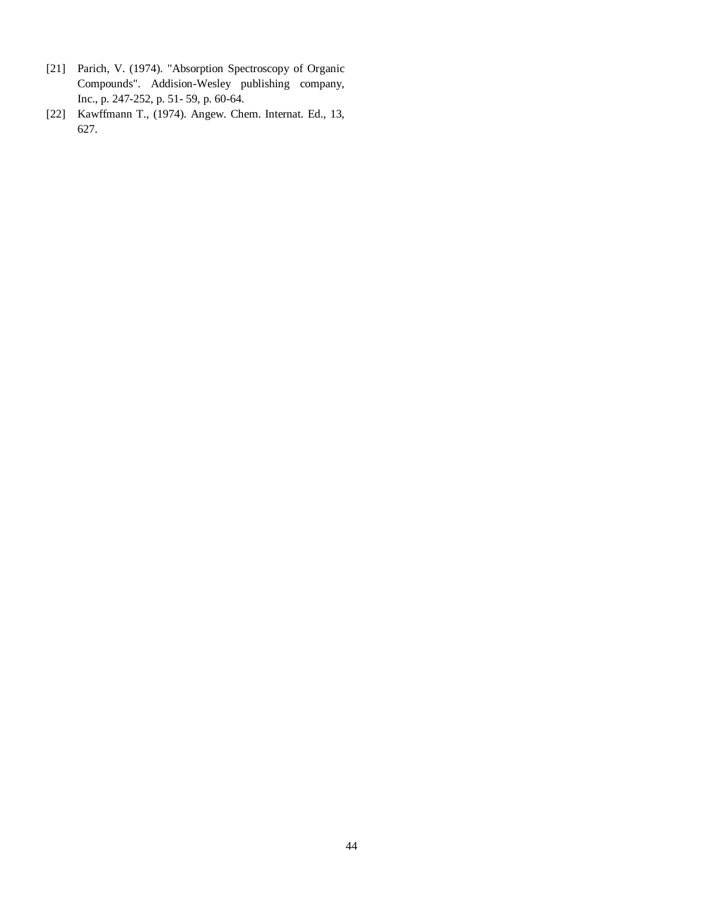- [21] Parich, V. (1974). "Absorption Spectroscopy of Organic Compounds". Addision-Wesley publishing company, Inc., p. 247-252, p. 51- 59, p. 60-64.
- [22] Kawffmann T., (1974). Angew. Chem. Internat. Ed., 13, 627.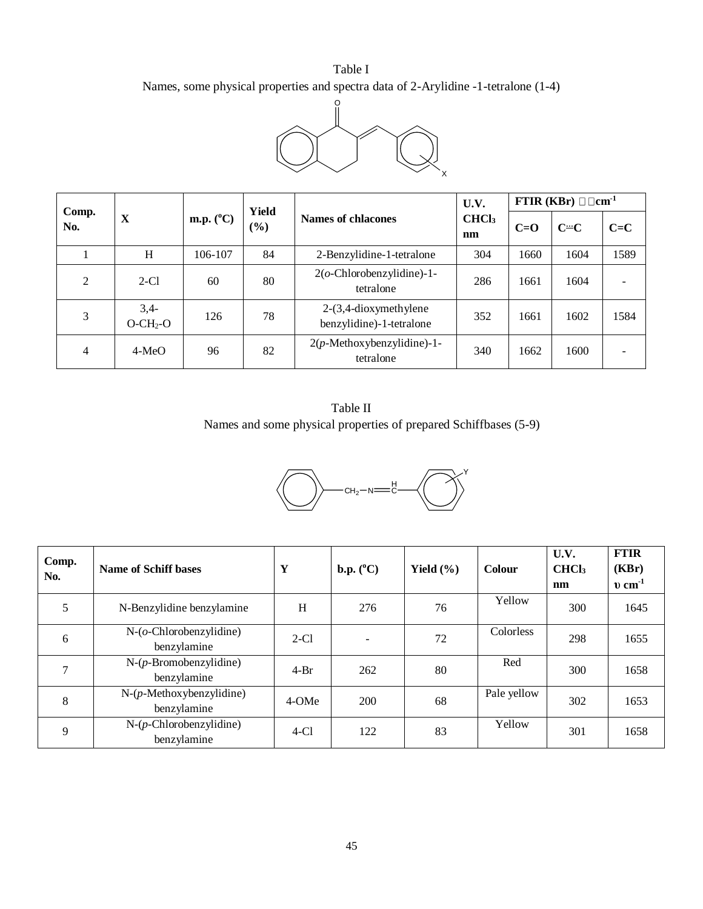# Table I Names, some physical properties and spectra data of 2-Arylidine -1-tetralone (1-4)



|                |                                                                      |         |                         |                                                      | U.V.    | FTIR (KBr) $\Box$ cm <sup>-1</sup> |      |      |  |
|----------------|----------------------------------------------------------------------|---------|-------------------------|------------------------------------------------------|---------|------------------------------------|------|------|--|
| Comp.<br>No.   | <b>Yield</b><br>m.p. $(^{\circ}C)$<br>X<br>Names of chlacones<br>(%) |         | CHCl <sub>3</sub><br>nm | $C=O$                                                | $C = C$ | $C = C$                            |      |      |  |
|                | H                                                                    | 106-107 | 84                      | 2-Benzylidine-1-tetralone                            | 304     | 1660                               | 1604 | 1589 |  |
| $\overline{2}$ | $2-C1$                                                               | 60      | 80                      | $2(o$ -Chlorobenzylidine)-1-<br>tetralone            | 286     | 1661                               | 1604 |      |  |
| 3              | $3,4-$<br>$O-CH2-O$                                                  | 126     | 78                      | $2-(3,4-dioxymethylene)$<br>benzylidine)-1-tetralone | 352     | 1661                               | 1602 | 1584 |  |
| 4              | $4-MeO$                                                              | 96      | 82                      | $2(p$ -Methoxybenzylidine)-1-<br>tetralone           | 340     | 1662                               | 1600 |      |  |

Table II Names and some physical properties of prepared Schiffbases (5-9)



| Comp.<br>No. | Name of Schiff bases                          | Y      | $\mathbf{b}.\mathbf{p}.\,(^0\mathbf{C})$ | Yield $(\% )$ | Colour      | U.V.<br>CHCl <sub>3</sub><br>nm | <b>FTIR</b><br>(KBr)<br>$v \, \text{cm}^{-1}$ |
|--------------|-----------------------------------------------|--------|------------------------------------------|---------------|-------------|---------------------------------|-----------------------------------------------|
| 5            | N-Benzylidine benzylamine                     | H      | 276                                      | 76            | Yellow      | 300                             | 1645                                          |
| 6            | $N$ - $(o$ -Chlorobenzylidine)<br>benzylamine | $2-C1$ |                                          | 72            | Colorless   | 298                             | 1655                                          |
| 7            | $N-(p-Bromobenzylidine)$<br>benzylamine       | $4-Br$ | 262                                      | 80            | Red         | 300                             | 1658                                          |
| 8            | $N-(p-Methoxybenzylidine)$<br>benzylamine     | 4-OMe  | <b>200</b>                               | 68            | Pale yellow | 302                             | 1653                                          |
| 9            | $N-(p$ -Chlorobenzylidine)<br>benzylamine     | $4-Cl$ | 122                                      | 83            | Yellow      | 301                             | 1658                                          |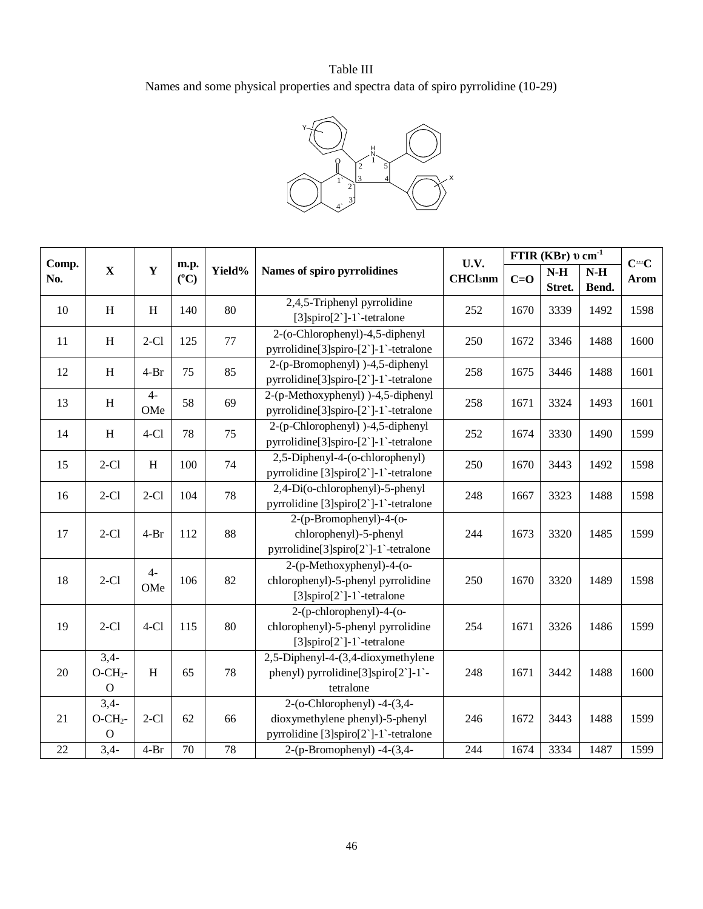# Table III Names and some physical properties and spectra data of spiro pyrrolidine (10-29)



| Comp. |                                    |             |                       |        |                                                                                                           | U.V.           | FTIR (KBr) $v \, cm^{-1}$ | $C = C$         |                |      |
|-------|------------------------------------|-------------|-----------------------|--------|-----------------------------------------------------------------------------------------------------------|----------------|---------------------------|-----------------|----------------|------|
| No.   | $\mathbf X$                        | $\mathbf Y$ | m.p.<br>$(^{\circ}C)$ | Yield% | Names of spiro pyrrolidines                                                                               | <b>CHCl3nm</b> | $C = O$                   | $N-H$<br>Stret. | $N-H$<br>Bend. | Arom |
| 10    | H                                  | H           | 140                   | 80     | 2,4,5-Triphenyl pyrrolidine<br>$[3]$ spiro $[2]$ -1`-tetralone                                            | 252            | 1670                      | 3339            | 1492           | 1598 |
| 11    | $\, {\rm H}$                       | $2-C1$      | 125                   | 77     | 2-(o-Chlorophenyl)-4,5-diphenyl<br>pyrrolidine[3]spiro-[2`]-1`-tetralone                                  | 250            | 1672                      | 3346            | 1488           | 1600 |
| 12    | H                                  | $4-Br$      | 75                    | 85     | $2-(p-Bromophenyl)$ )-4,5-diphenyl<br>pyrrolidine[3]spiro-[2`]-1`-tetralone                               | 258            | 1675                      | 3446            | 1488           | 1601 |
| 13    | H                                  | $4-$<br>OMe | 58                    | 69     | 2-(p-Methoxyphenyl) )-4,5-diphenyl<br>pyrrolidine[3]spiro-[2`]-1`-tetralone                               | 258            | 1671                      | 3324            | 1493           | 1601 |
| 14    | H                                  | $4-C1$      | 78                    | 75     | 2-(p-Chlorophenyl) )-4,5-diphenyl<br>pyrrolidine[3]spiro-[2`]-1`-tetralone                                | 252            | 1674                      | 3330            | 1490           | 1599 |
| 15    | $2-C1$                             | H           | 100                   | 74     | 2,5-Diphenyl-4-(o-chlorophenyl)<br>250<br>pyrrolidine [3]spiro[2`]-1`-tetralone                           |                | 1670                      | 3443            | 1492           | 1598 |
| 16    | $2-C1$                             | $2-C1$      | 104                   | 78     | 2,4-Di(o-chlorophenyl)-5-phenyl<br>pyrrolidine [3]spiro[2`]-1`-tetralone                                  | 248            | 1667                      | 3323            | 1488           | 1598 |
| 17    | $2-C1$                             | $4-Br$      | 112                   | 88     | 2-(p-Bromophenyl)-4-(o-<br>chlorophenyl)-5-phenyl<br>pyrrolidine[3]spiro[2`]-1`-tetralone                 | 244            | 1673                      | 3320            | 1485           | 1599 |
| 18    | $2-C1$                             | $4-$<br>OMe | 106                   | 82     | 2-(p-Methoxyphenyl)-4-(o-<br>chlorophenyl)-5-phenyl pyrrolidine<br>$[3]$ spiro $[2]$ -1`-tetralone        | 250            | 1670                      | 3320            | 1489           | 1598 |
| 19    | $2-C1$                             | $4-Cl$      | 115                   | 80     | $2-(p-chlorophenyl)-4-(o-$<br>chlorophenyl)-5-phenyl pyrrolidine<br>$[3]$ spiro $[2]$ -1`-tetralone       | 254            | 1671                      | 3326            | 1486           | 1599 |
| 20    | $3,4-$<br>$O-CH2$ -<br>$\Omega$    | H           | 65                    | 78     | 2,5-Diphenyl-4-(3,4-dioxymethylene<br>phenyl) pyrrolidine[3]spiro[2`]-1`-<br>tetralone                    | 248            | 1671                      | 3442            | 1488           | 1600 |
| 21    | $3,4-$<br>$O-CH2$ -<br>$\mathbf O$ | $2-C1$      | 62                    | 66     | $2-(o-Chlorophenyl) -4-(3,4-$<br>dioxymethylene phenyl)-5-phenyl<br>pyrrolidine [3]spiro[2`]-1`-tetralone | 246            | 1672                      | 3443            | 1488           | 1599 |
| 22    | $\overline{3,4}$                   | $4-Br$      | $70\,$                | 78     | 2-(p-Bromophenyl) -4-(3,4-                                                                                | 244            | 1674                      | 3334            | 1487           | 1599 |